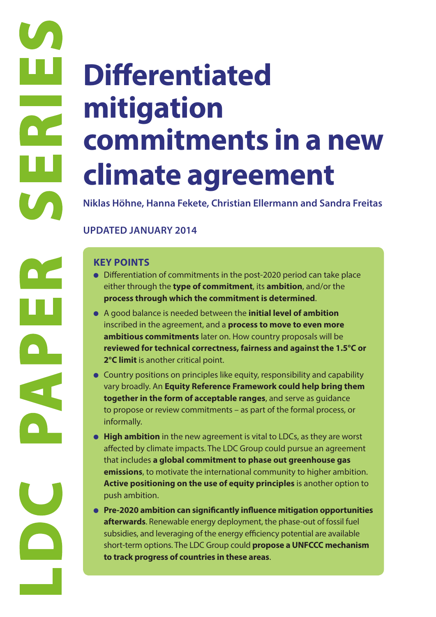# **Differentiated mitigation commitments in a new climate agreement**

**Niklas Höhne, Hanna Fekete, Christian Ellermann and Sandra Freitas**

# **UPDATED JANUARY 2014**

- Differentiation of commitments in the post-2020 period can take place either through the **type of commitment**, its **ambition**, and/or the **process through which the commitment is determined**.
- A good balance is needed between the **initial level of ambition** inscribed in the agreement, and a **process to move to even more ambitious commitments** later on. How country proposals will be **reviewed for technical correctness, fairness and against the 1.5°C or 2°C limit** is another critical point.
- Country positions on principles like equity, responsibility and capability vary broadly. An **Equity Reference Framework could help bring them together in the form of acceptable ranges**, and serve as guidance to propose or review commitments – as part of the formal process, or informally.
- **High ambition** in the new agreement is vital to LDCs, as they are worst affected by climate impacts. The LDC Group could pursue an agreement that includes **a global commitment to phase out greenhouse gas emissions**, to motivate the international community to higher ambition. **Active positioning on the use of equity principles** is another option to push ambition.
- **Pre-2020 ambition can significantly influence mitigation opportunities afterwards**. Renewable energy deployment, the phase-out of fossil fuel subsidies, and leveraging of the energy efficiency potential are available short-term options. The LDC Group could **propose a UNFCCC mechanism to track progress of countries in these areas**.

**LDC PRIMER**<br> **LDC PRIMER SERIES**<br> **LOCAL POINTS**<br> **LOCAL POINTS**<br> **LOCAL POINTS**<br> **LOCAL POINTS**<br> **LOCAL POINTS**<br> **LOCAL POINTS**<br> **LOCAL POINTS**<br> **LOCAL POINTS**<br> **LOCAL POINTS**<br> **LOCAL POINTS**<br> **LOCAL POINTS**<br> **LOCAL POIN**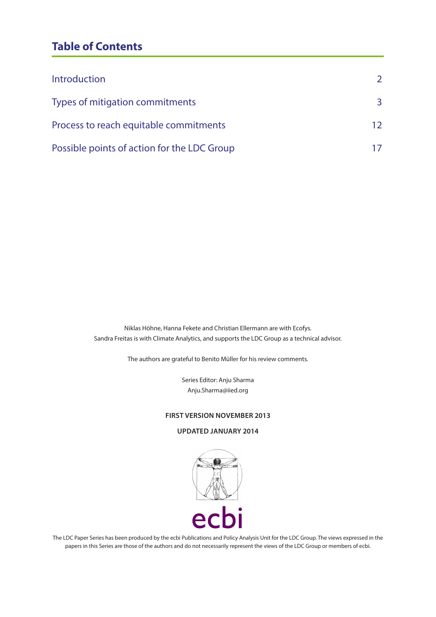# **Table of Contents**

| Introduction                                | $\mathcal{L}$ |
|---------------------------------------------|---------------|
| Types of mitigation commitments             | 3             |
| Process to reach equitable commitments      | 12            |
| Possible points of action for the LDC Group |               |

Niklas Höhne, Hanna Fekete and Christian Ellermann are with Ecofys. Sandra Freitas is with Climate Analytics, and supports the LDC Group as a technical advisor.

The authors are grateful to Benito Müller for his review comments.

Series Editor: Anju Sharma Anju.Sharma@iied.org

#### **FIRST VERSION NOVEMBER 2013**

#### **UPDATED JANUARY 2014**



The LDC Paper Series has been produced by the ecbi Publications and Policy Analysis Unit for the LDC Group. The views expressed in the papers in this Series are those of the authors and do not necessarily represent the views of the LDC Group or members of ecbi.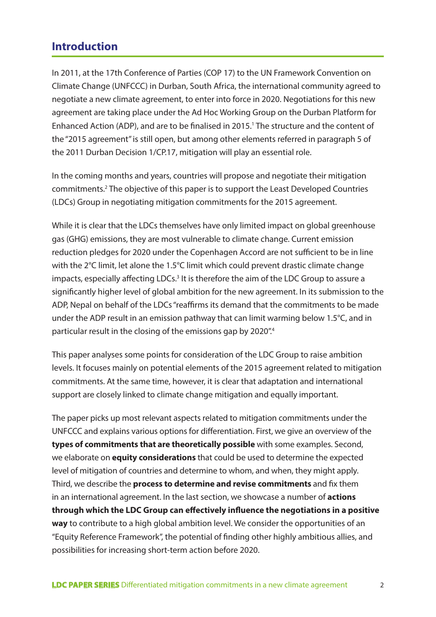# **Introduction**

In 2011, at the 17th Conference of Parties (COP 17) to the UN Framework Convention on Climate Change (UNFCCC) in Durban, South Africa, the international community agreed to negotiate a new climate agreement, to enter into force in 2020. Negotiations for this new agreement are taking place under the Ad Hoc Working Group on the Durban Platform for Enhanced Action (ADP), and are to be finalised in 2015.<sup>1</sup> The structure and the content of the "2015 agreement" is still open, but among other elements referred in paragraph 5 of the 2011 Durban Decision 1/CP.17, mitigation will play an essential role.

In the coming months and years, countries will propose and negotiate their mitigation commitments.<sup>2</sup> The objective of this paper is to support the Least Developed Countries (LDCs) Group in negotiating mitigation commitments for the 2015 agreement.

While it is clear that the LDCs themselves have only limited impact on global greenhouse gas (GHG) emissions, they are most vulnerable to climate change. Current emission reduction pledges for 2020 under the Copenhagen Accord are not sufficient to be in line with the 2°C limit, let alone the 1.5°C limit which could prevent drastic climate change impacts, especially affecting LDCs.<sup>3</sup> It is therefore the aim of the LDC Group to assure a significantly higher level of global ambition for the new agreement. In its submission to the ADP, Nepal on behalf of the LDCs "reaffirms its demand that the commitments to be made under the ADP result in an emission pathway that can limit warming below 1.5°C, and in particular result in the closing of the emissions gap by 2020".4

This paper analyses some points for consideration of the LDC Group to raise ambition levels. It focuses mainly on potential elements of the 2015 agreement related to mitigation commitments. At the same time, however, it is clear that adaptation and international support are closely linked to climate change mitigation and equally important.

The paper picks up most relevant aspects related to mitigation commitments under the UNFCCC and explains various options for differentiation. First, we give an overview of the **types of commitments that are theoretically possible** with some examples. Second, we elaborate on **equity considerations** that could be used to determine the expected level of mitigation of countries and determine to whom, and when, they might apply. Third, we describe the **process to determine and revise commitments** and fix them in an international agreement. In the last section, we showcase a number of **actions through which the LDC Group can effectively influence the negotiations in a positive way** to contribute to a high global ambition level. We consider the opportunities of an "Equity Reference Framework", the potential of finding other highly ambitious allies, and possibilities for increasing short-term action before 2020.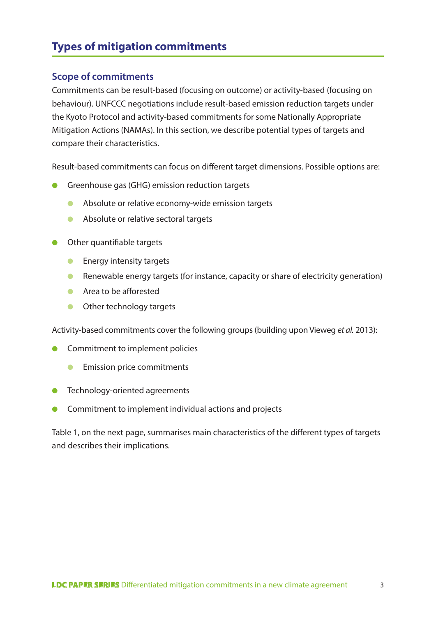# **Types of mitigation commitments**

# **Scope of commitments**

Commitments can be result-based (focusing on outcome) or activity-based (focusing on behaviour). UNFCCC negotiations include result-based emission reduction targets under the Kyoto Protocol and activity-based commitments for some Nationally Appropriate Mitigation Actions (NAMAs). In this section, we describe potential types of targets and compare their characteristics.

Result-based commitments can focus on different target dimensions. Possible options are:

- Greenhouse gas (GHG) emission reduction targets
	- Absolute or relative economy-wide emission targets
	- Absolute or relative sectoral targets
- Other quantifiable targets
	- Energy intensity targets
	- Renewable energy targets (for instance, capacity or share of electricity generation)
	- Area to be afforested
	- Other technology targets

Activity-based commitments cover the following groups (building upon Vieweg *et al.* 2013):

- Commitment to implement policies
	- **•** Emission price commitments
- **•** Technology-oriented agreements
- Commitment to implement individual actions and projects

Table 1, on the next page, summarises main characteristics of the different types of targets and describes their implications.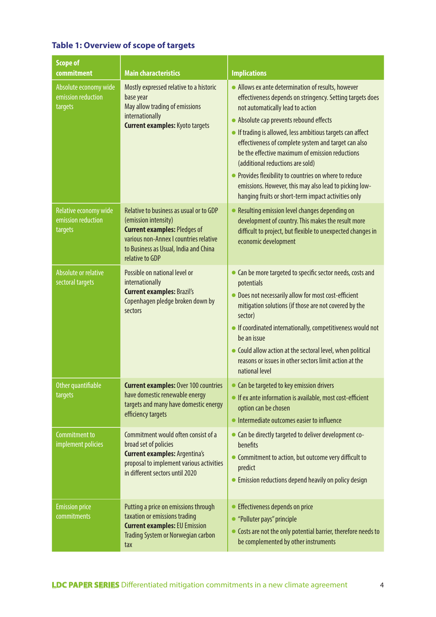| <b>Scope of</b><br>commitment                          | <b>Main characteristics</b>                                                                                                                                                                                  | <b>Implications</b>                                                                                                                                                                                                                                                                                                                                                                                                                                                                                                                                                                    |  |
|--------------------------------------------------------|--------------------------------------------------------------------------------------------------------------------------------------------------------------------------------------------------------------|----------------------------------------------------------------------------------------------------------------------------------------------------------------------------------------------------------------------------------------------------------------------------------------------------------------------------------------------------------------------------------------------------------------------------------------------------------------------------------------------------------------------------------------------------------------------------------------|--|
| Absolute economy wide<br>emission reduction<br>targets | Mostly expressed relative to a historic<br>base year<br>May allow trading of emissions<br>internationally<br><b>Current examples: Kyoto targets</b>                                                          | • Allows ex ante determination of results, however<br>effectiveness depends on stringency. Setting targets does<br>not automatically lead to action<br>• Absolute cap prevents rebound effects<br>• If trading is allowed, less ambitious targets can affect<br>effectiveness of complete system and target can also<br>be the effective maximum of emission reductions<br>(additional reductions are sold)<br>• Provides flexibility to countries on where to reduce<br>emissions. However, this may also lead to picking low-<br>hanging fruits or short-term impact activities only |  |
| Relative economy wide<br>emission reduction<br>targets | Relative to business as usual or to GDP<br>(emission intensity)<br><b>Current examples: Pledges of</b><br>various non-Annex I countries relative<br>to Business as Usual, India and China<br>relative to GDP | • Resulting emission level changes depending on<br>development of country. This makes the result more<br>difficult to project, but flexible to unexpected changes in<br>economic development                                                                                                                                                                                                                                                                                                                                                                                           |  |
| Absolute or relative<br>sectoral targets               | Possible on national level or<br>internationally<br><b>Current examples: Brazil's</b><br>Copenhagen pledge broken down by<br>sectors                                                                         | • Can be more targeted to specific sector needs, costs and<br>potentials<br>• Does not necessarily allow for most cost-efficient<br>mitigation solutions (if those are not covered by the<br>sector)<br>• If coordinated internationally, competitiveness would not<br>be an issue<br>• Could allow action at the sectoral level, when political<br>reasons or issues in other sectors limit action at the<br>national level                                                                                                                                                           |  |
| Other quantifiable<br>targets                          | <b>Current examples: Over 100 countries</b><br>have domestic renewable energy<br>targets and many have domestic energy<br>efficiency targets                                                                 | • Can be targeted to key emission drivers<br>• If ex ante information is available, most cost-efficient<br>option can be chosen<br>• Intermediate outcomes easier to influence                                                                                                                                                                                                                                                                                                                                                                                                         |  |
| Commitment to<br>implement policies                    | Commitment would often consist of a<br>broad set of policies<br><b>Current examples: Argentina's</b><br>proposal to implement various activities<br>in different sectors until 2020                          | • Can be directly targeted to deliver development co-<br>benefits<br>• Commitment to action, but outcome very difficult to<br>predict<br>• Emission reductions depend heavily on policy design                                                                                                                                                                                                                                                                                                                                                                                         |  |
| <b>Emission price</b><br>commitments                   | Putting a price on emissions through<br>taxation or emissions trading<br><b>Current examples: EU Emission</b><br>Trading System or Norwegian carbon<br>tax                                                   | • Effectiveness depends on price<br>• "Polluter pays" principle<br>• Costs are not the only potential barrier, therefore needs to<br>be complemented by other instruments                                                                                                                                                                                                                                                                                                                                                                                                              |  |

# **Table 1: Overview of scope of targets**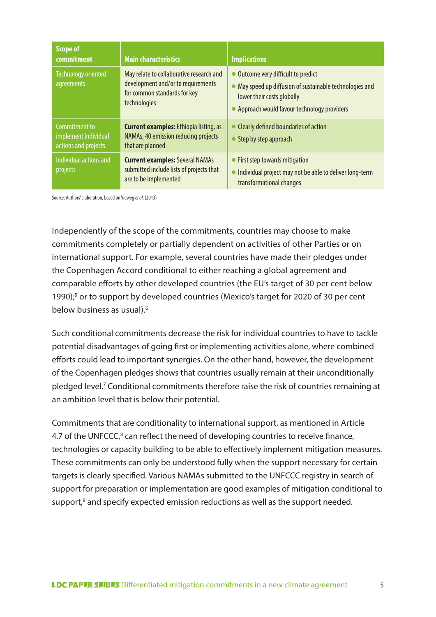| <b>Scope of</b><br>commitment                                 | <b>Main characteristics</b>                                                                                                    | <b>Implications</b>                                                                                                                                                           |
|---------------------------------------------------------------|--------------------------------------------------------------------------------------------------------------------------------|-------------------------------------------------------------------------------------------------------------------------------------------------------------------------------|
| <b>Technology oriented</b><br>agreements                      | May relate to collaborative research and<br>development and/or to requirements<br>for common standards for key<br>technologies | • Outcome very difficult to predict<br>• May speed up diffusion of sustainable technologies and<br>lower their costs globally<br>• Approach would favour technology providers |
| Commitment to<br>implement individual<br>actions and projects | <b>Current examples:</b> Ethiopia listing, as<br>NAMAs, 40 emission reducing projects<br>that are planned                      | • Clearly defined boundaries of action<br>• Step by step approach                                                                                                             |
| Individual actions and<br>projects                            | <b>Current examples: Several NAMAs</b><br>submitted include lists of projects that<br>are to be implemented                    | • First step towards mitigation<br>• Individual project may not be able to deliver long-term<br>transformational changes                                                      |

Source: Authors' elaboration, based on Vieweg *et al*. (2013)

Independently of the scope of the commitments, countries may choose to make commitments completely or partially dependent on activities of other Parties or on international support. For example, several countries have made their pledges under the Copenhagen Accord conditional to either reaching a global agreement and comparable efforts by other developed countries (the EU's target of 30 per cent below 1990);<sup>5</sup> or to support by developed countries (Mexico's target for 2020 of 30 per cent below business as usual).6

Such conditional commitments decrease the risk for individual countries to have to tackle potential disadvantages of going first or implementing activities alone, where combined efforts could lead to important synergies. On the other hand, however, the development of the Copenhagen pledges shows that countries usually remain at their unconditionally pledged level.<sup>7</sup> Conditional commitments therefore raise the risk of countries remaining at an ambition level that is below their potential.

Commitments that are conditionality to international support, as mentioned in Article 4.7 of the UNFCCC,<sup>8</sup> can reflect the need of developing countries to receive finance, technologies or capacity building to be able to effectively implement mitigation measures. These commitments can only be understood fully when the support necessary for certain targets is clearly specified. Various NAMAs submitted to the UNFCCC registry in search of support for preparation or implementation are good examples of mitigation conditional to support,<sup>9</sup> and specify expected emission reductions as well as the support needed.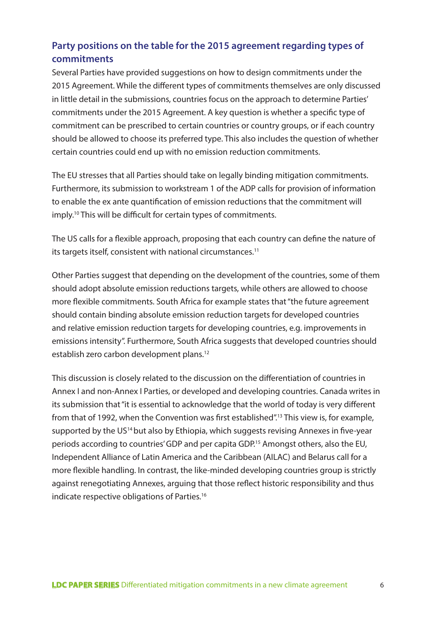# **Party positions on the table for the 2015 agreement regarding types of commitments**

Several Parties have provided suggestions on how to design commitments under the 2015 Agreement. While the different types of commitments themselves are only discussed in little detail in the submissions, countries focus on the approach to determine Parties' commitments under the 2015 Agreement. A key question is whether a specific type of commitment can be prescribed to certain countries or country groups, or if each country should be allowed to choose its preferred type. This also includes the question of whether certain countries could end up with no emission reduction commitments.

The EU stresses that all Parties should take on legally binding mitigation commitments. Furthermore, its submission to workstream 1 of the ADP calls for provision of information to enable the ex ante quantification of emission reductions that the commitment will imply.10 This will be difficult for certain types of commitments.

The US calls for a flexible approach, proposing that each country can define the nature of its targets itself, consistent with national circumstances.<sup>11</sup>

Other Parties suggest that depending on the development of the countries, some of them should adopt absolute emission reductions targets, while others are allowed to choose more flexible commitments. South Africa for example states that "the future agreement should contain binding absolute emission reduction targets for developed countries and relative emission reduction targets for developing countries, e.g. improvements in emissions intensity". Furthermore, South Africa suggests that developed countries should establish zero carbon development plans.<sup>12</sup>

This discussion is closely related to the discussion on the differentiation of countries in Annex I and non-Annex I Parties, or developed and developing countries. Canada writes in its submission that "it is essential to acknowledge that the world of today is very different from that of 1992, when the Convention was first established".13 This view is, for example, supported by the US<sup>14</sup> but also by Ethiopia, which suggests revising Annexes in five-year periods according to countries' GDP and per capita GDP.<sup>15</sup> Amongst others, also the EU, Independent Alliance of Latin America and the Caribbean (AILAC) and Belarus call for a more flexible handling. In contrast, the like-minded developing countries group is strictly against renegotiating Annexes, arguing that those reflect historic responsibility and thus indicate respective obligations of Parties.16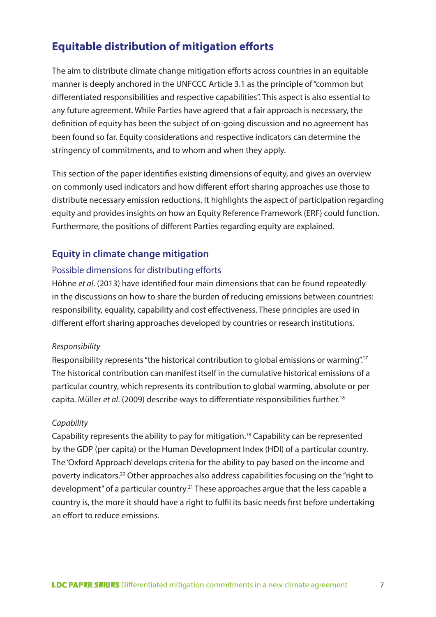# **Equitable distribution of mitigation efforts**

The aim to distribute climate change mitigation efforts across countries in an equitable manner is deeply anchored in the UNFCCC Article 3.1 as the principle of "common but differentiated responsibilities and respective capabilities". This aspect is also essential to any future agreement. While Parties have agreed that a fair approach is necessary, the definition of equity has been the subject of on-going discussion and no agreement has been found so far. Equity considerations and respective indicators can determine the stringency of commitments, and to whom and when they apply.

This section of the paper identifies existing dimensions of equity, and gives an overview on commonly used indicators and how different effort sharing approaches use those to distribute necessary emission reductions. It highlights the aspect of participation regarding equity and provides insights on how an Equity Reference Framework (ERF) could function. Furthermore, the positions of different Parties regarding equity are explained.

# **Equity in climate change mitigation**

#### Possible dimensions for distributing efforts

Höhne *et al*. (2013) have identified four main dimensions that can be found repeatedly in the discussions on how to share the burden of reducing emissions between countries: responsibility, equality, capability and cost effectiveness. These principles are used in different effort sharing approaches developed by countries or research institutions.

#### *Responsibility*

Responsibility represents "the historical contribution to global emissions or warming".17 The historical contribution can manifest itself in the cumulative historical emissions of a particular country, which represents its contribution to global warming, absolute or per capita. Müller *et al*. (2009) describe ways to differentiate responsibilities further.18

# *Capability*

Capability represents the ability to pay for mitigation.<sup>19</sup> Capability can be represented by the GDP (per capita) or the Human Development Index (HDI) of a particular country. The 'Oxford Approach' develops criteria for the ability to pay based on the income and poverty indicators.20 Other approaches also address capabilities focusing on the "right to development" of a particular country.<sup>21</sup> These approaches argue that the less capable a country is, the more it should have a right to fulfil its basic needs first before undertaking an effort to reduce emissions.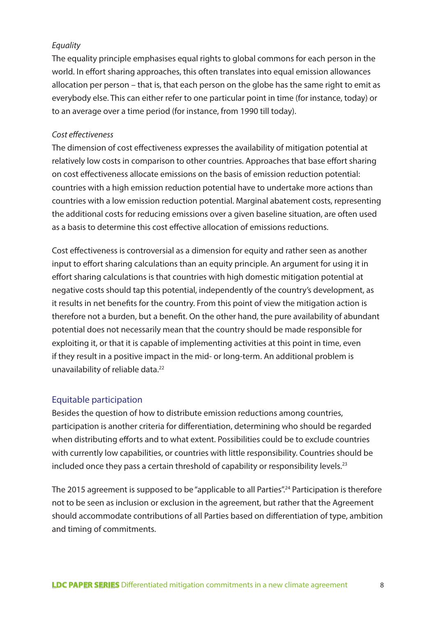#### *Equality*

The equality principle emphasises equal rights to global commons for each person in the world. In effort sharing approaches, this often translates into equal emission allowances allocation per person – that is, that each person on the globe has the same right to emit as everybody else. This can either refer to one particular point in time (for instance, today) or to an average over a time period (for instance, from 1990 till today).

#### *Cost effectiveness*

The dimension of cost effectiveness expresses the availability of mitigation potential at relatively low costs in comparison to other countries. Approaches that base effort sharing on cost effectiveness allocate emissions on the basis of emission reduction potential: countries with a high emission reduction potential have to undertake more actions than countries with a low emission reduction potential. Marginal abatement costs, representing the additional costs for reducing emissions over a given baseline situation, are often used as a basis to determine this cost effective allocation of emissions reductions.

Cost effectiveness is controversial as a dimension for equity and rather seen as another input to effort sharing calculations than an equity principle. An argument for using it in effort sharing calculations is that countries with high domestic mitigation potential at negative costs should tap this potential, independently of the country's development, as it results in net benefits for the country. From this point of view the mitigation action is therefore not a burden, but a benefit. On the other hand, the pure availability of abundant potential does not necessarily mean that the country should be made responsible for exploiting it, or that it is capable of implementing activities at this point in time, even if they result in a positive impact in the mid- or long-term. An additional problem is unavailability of reliable data.22

#### Equitable participation

Besides the question of how to distribute emission reductions among countries, participation is another criteria for differentiation, determining who should be regarded when distributing efforts and to what extent. Possibilities could be to exclude countries with currently low capabilities, or countries with little responsibility. Countries should be included once they pass a certain threshold of capability or responsibility levels.<sup>23</sup>

The 2015 agreement is supposed to be "applicable to all Parties".<sup>24</sup> Participation is therefore not to be seen as inclusion or exclusion in the agreement, but rather that the Agreement should accommodate contributions of all Parties based on differentiation of type, ambition and timing of commitments.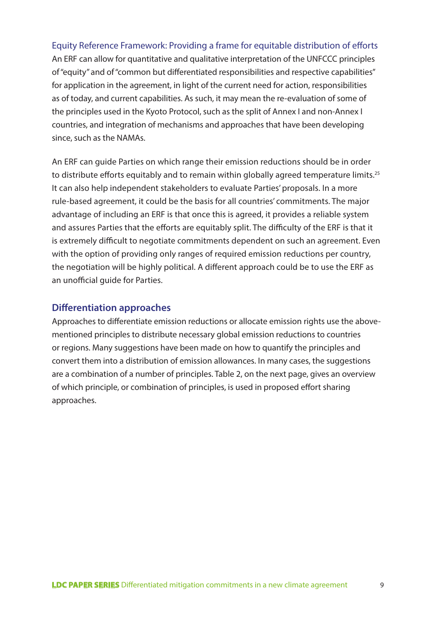Equity Reference Framework: Providing a frame for equitable distribution of efforts An ERF can allow for quantitative and qualitative interpretation of the UNFCCC principles of "equity" and of "common but differentiated responsibilities and respective capabilities" for application in the agreement, in light of the current need for action, responsibilities as of today, and current capabilities. As such, it may mean the re-evaluation of some of the principles used in the Kyoto Protocol, such as the split of Annex I and non-Annex I countries, and integration of mechanisms and approaches that have been developing since, such as the NAMAs.

An ERF can guide Parties on which range their emission reductions should be in order to distribute efforts equitably and to remain within globally agreed temperature limits.<sup>25</sup> It can also help independent stakeholders to evaluate Parties' proposals. In a more rule-based agreement, it could be the basis for all countries' commitments. The major advantage of including an ERF is that once this is agreed, it provides a reliable system and assures Parties that the efforts are equitably split. The difficulty of the ERF is that it is extremely difficult to negotiate commitments dependent on such an agreement. Even with the option of providing only ranges of required emission reductions per country, the negotiation will be highly political. A different approach could be to use the ERF as an unofficial guide for Parties.

#### **Differentiation approaches**

Approaches to differentiate emission reductions or allocate emission rights use the abovementioned principles to distribute necessary global emission reductions to countries or regions. Many suggestions have been made on how to quantify the principles and convert them into a distribution of emission allowances. In many cases, the suggestions are a combination of a number of principles. Table 2, on the next page, gives an overview of which principle, or combination of principles, is used in proposed effort sharing approaches.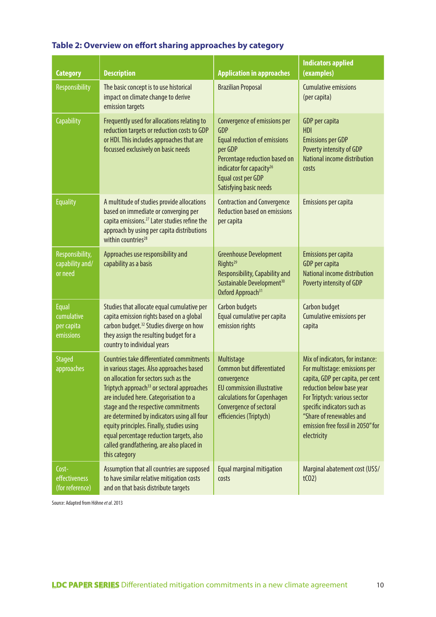| <b>Category</b>                                       | <b>Description</b>                                                                                                                                                                                                                                                                                                                                                                                                                                                               | <b>Application in approaches</b>                                                                                                                                                                                      | <b>Indicators applied</b><br>(examples)                                                                                                                                                                                                                                           |
|-------------------------------------------------------|----------------------------------------------------------------------------------------------------------------------------------------------------------------------------------------------------------------------------------------------------------------------------------------------------------------------------------------------------------------------------------------------------------------------------------------------------------------------------------|-----------------------------------------------------------------------------------------------------------------------------------------------------------------------------------------------------------------------|-----------------------------------------------------------------------------------------------------------------------------------------------------------------------------------------------------------------------------------------------------------------------------------|
| Responsibility                                        | The basic concept is to use historical<br>impact on climate change to derive<br>emission targets                                                                                                                                                                                                                                                                                                                                                                                 | <b>Brazilian Proposal</b>                                                                                                                                                                                             | <b>Cumulative emissions</b><br>(per capita)                                                                                                                                                                                                                                       |
| <b>Capability</b>                                     | Frequently used for allocations relating to<br>reduction targets or reduction costs to GDP<br>or HDI. This includes approaches that are<br>focussed exclusively on basic needs                                                                                                                                                                                                                                                                                                   | Convergence of emissions per<br><b>GDP</b><br><b>Equal reduction of emissions</b><br>per GDP<br>Percentage reduction based on<br>indicator for capacity <sup>26</sup><br>Equal cost per GDP<br>Satisfying basic needs | GDP per capita<br><b>HDI</b><br><b>Emissions per GDP</b><br>Poverty intensity of GDP<br>National income distribution<br>costs                                                                                                                                                     |
| <b>Equality</b>                                       | A multitude of studies provide allocations<br>based on immediate or converging per<br>capita emissions. <sup>27</sup> Later studies refine the<br>approach by using per capita distributions<br>within countries <sup>28</sup>                                                                                                                                                                                                                                                   | <b>Contraction and Convergence</b><br><b>Reduction based on emissions</b><br>per capita                                                                                                                               | Emissions per capita                                                                                                                                                                                                                                                              |
| Responsibility,<br>capability and/<br>or need         | Approaches use responsibility and<br>capability as a basis                                                                                                                                                                                                                                                                                                                                                                                                                       | <b>Greenhouse Development</b><br>Rights <sup>29</sup><br>Responsibility, Capability and<br>Sustainable Development <sup>30</sup><br>Oxford Approach <sup>31</sup>                                                     | <b>Emissions per capita</b><br>GDP per capita<br>National income distribution<br>Poverty intensity of GDP                                                                                                                                                                         |
| <b>Equal</b><br>cumulative<br>per capita<br>emissions | Studies that allocate equal cumulative per<br>capita emission rights based on a global<br>carbon budget. <sup>32</sup> Studies diverge on how<br>they assign the resulting budget for a<br>country to individual years                                                                                                                                                                                                                                                           | <b>Carbon budgets</b><br>Equal cumulative per capita<br>emission rights                                                                                                                                               | Carbon budget<br>Cumulative emissions per<br>capita                                                                                                                                                                                                                               |
| <b>Staged</b><br>approaches                           | Countries take differentiated commitments<br>in various stages. Also approaches based<br>on allocation for sectors such as the<br>Triptych approach <sup>33</sup> or sectoral approaches<br>are included here. Categorisation to a<br>stage and the respective commitments<br>are determined by indicators using all four<br>equity principles. Finally, studies using<br>equal percentage reduction targets, also<br>called grandfathering, are also placed in<br>this category | Multistage<br>Common but differentiated<br>convergence<br><b>EU</b> commission illustrative<br>calculations for Copenhagen<br>Convergence of sectoral<br>efficiencies (Triptych)                                      | Mix of indicators, for instance:<br>For multistage: emissions per<br>capita, GDP per capita, per cent<br>reduction below base year<br>For Triptych: various sector<br>specific indicators such as<br>"Share of renewables and<br>emission free fossil in 2050" for<br>electricity |
| Cost-<br>effectiveness<br>(for reference)             | Assumption that all countries are supposed<br>to have similar relative mitigation costs<br>and on that basis distribute targets                                                                                                                                                                                                                                                                                                                                                  | Equal marginal mitigation<br>costs                                                                                                                                                                                    | Marginal abatement cost (US\$/<br>t(02)                                                                                                                                                                                                                                           |

# **Table 2: Overview on effort sharing approaches by category**

Source: Adapted from Höhne *et al*. 2013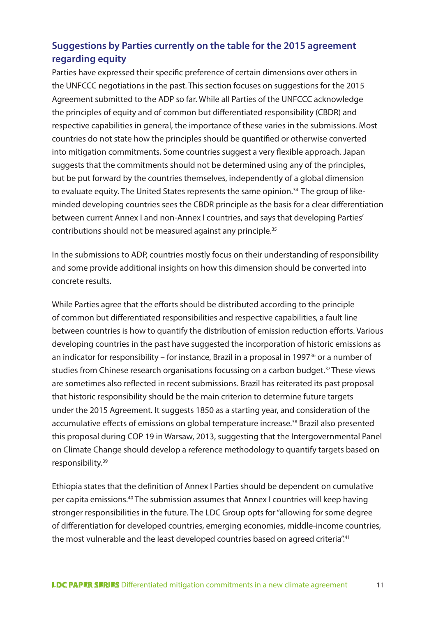# **Suggestions by Parties currently on the table for the 2015 agreement regarding equity**

Parties have expressed their specific preference of certain dimensions over others in the UNFCCC negotiations in the past. This section focuses on suggestions for the 2015 Agreement submitted to the ADP so far. While all Parties of the UNFCCC acknowledge the principles of equity and of common but differentiated responsibility (CBDR) and respective capabilities in general, the importance of these varies in the submissions. Most countries do not state how the principles should be quantified or otherwise converted into mitigation commitments. Some countries suggest a very flexible approach. Japan suggests that the commitments should not be determined using any of the principles, but be put forward by the countries themselves, independently of a global dimension to evaluate equity. The United States represents the same opinion.<sup>34</sup> The group of likeminded developing countries sees the CBDR principle as the basis for a clear differentiation between current Annex I and non-Annex I countries, and says that developing Parties' contributions should not be measured against any principle.<sup>35</sup>

In the submissions to ADP, countries mostly focus on their understanding of responsibility and some provide additional insights on how this dimension should be converted into concrete results.

While Parties agree that the efforts should be distributed according to the principle of common but differentiated responsibilities and respective capabilities, a fault line between countries is how to quantify the distribution of emission reduction efforts. Various developing countries in the past have suggested the incorporation of historic emissions as an indicator for responsibility – for instance, Brazil in a proposal in 1997 $36$  or a number of studies from Chinese research organisations focussing on a carbon budget.<sup>37</sup> These views are sometimes also reflected in recent submissions. Brazil has reiterated its past proposal that historic responsibility should be the main criterion to determine future targets under the 2015 Agreement. It suggests 1850 as a starting year, and consideration of the accumulative effects of emissions on global temperature increase.<sup>38</sup> Brazil also presented this proposal during COP 19 in Warsaw, 2013, suggesting that the Intergovernmental Panel on Climate Change should develop a reference methodology to quantify targets based on responsibility.39

Ethiopia states that the definition of Annex I Parties should be dependent on cumulative per capita emissions.40 The submission assumes that Annex I countries will keep having stronger responsibilities in the future. The LDC Group opts for "allowing for some degree of differentiation for developed countries, emerging economies, middle-income countries, the most vulnerable and the least developed countries based on agreed criteria".<sup>41</sup>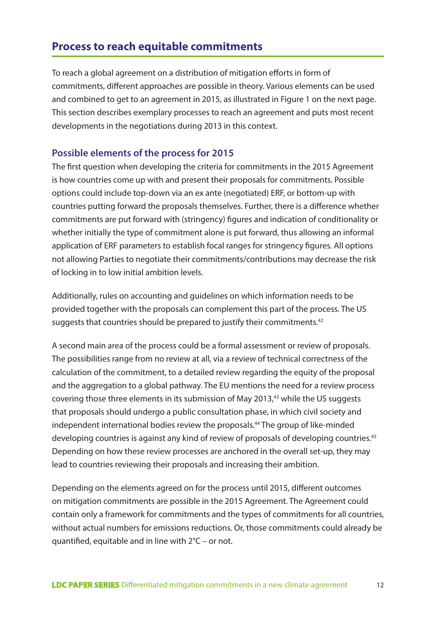# **Process to reach equitable commitments**

To reach a global agreement on a distribution of mitigation efforts in form of commitments, different approaches are possible in theory. Various elements can be used and combined to get to an agreement in 2015, as illustrated in Figure 1 on the next page. This section describes exemplary processes to reach an agreement and puts most recent developments in the negotiations during 2013 in this context.

# **Possible elements of the process for 2015**

The first question when developing the criteria for commitments in the 2015 Agreement is how countries come up with and present their proposals for commitments. Possible options could include top-down via an ex ante (negotiated) ERF, or bottom-up with countries putting forward the proposals themselves. Further, there is a difference whether commitments are put forward with (stringency) figures and indication of conditionality or whether initially the type of commitment alone is put forward, thus allowing an informal application of ERF parameters to establish focal ranges for stringency figures. All options not allowing Parties to negotiate their commitments/contributions may decrease the risk of locking in to low initial ambition levels.

Additionally, rules on accounting and guidelines on which information needs to be provided together with the proposals can complement this part of the process. The US suggests that countries should be prepared to justify their commitments.<sup>42</sup>

A second main area of the process could be a formal assessment or review of proposals. The possibilities range from no review at all, via a review of technical correctness of the calculation of the commitment, to a detailed review regarding the equity of the proposal and the aggregation to a global pathway. The EU mentions the need for a review process covering those three elements in its submission of May 2013,43 while the US suggests that proposals should undergo a public consultation phase, in which civil society and independent international bodies review the proposals.<sup>44</sup> The group of like-minded developing countries is against any kind of review of proposals of developing countries.<sup>45</sup> Depending on how these review processes are anchored in the overall set-up, they may lead to countries reviewing their proposals and increasing their ambition.

Depending on the elements agreed on for the process until 2015, different outcomes on mitigation commitments are possible in the 2015 Agreement. The Agreement could contain only a framework for commitments and the types of commitments for all countries, without actual numbers for emissions reductions. Or, those commitments could already be quantified, equitable and in line with 2°C – or not.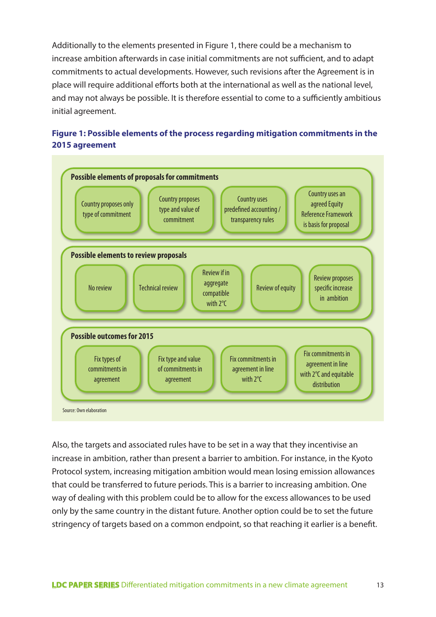Additionally to the elements presented in Figure 1, there could be a mechanism to increase ambition afterwards in case initial commitments are not sufficient, and to adapt commitments to actual developments. However, such revisions after the Agreement is in place will require additional efforts both at the international as well as the national level, and may not always be possible. It is therefore essential to come to a sufficiently ambitious initial agreement.

# **Figure 1: Possible elements of the process regarding mitigation commitments in the 2015 agreement**



Also, the targets and associated rules have to be set in a way that they incentivise an increase in ambition, rather than present a barrier to ambition. For instance, in the Kyoto Protocol system, increasing mitigation ambition would mean losing emission allowances that could be transferred to future periods. This is a barrier to increasing ambition. One way of dealing with this problem could be to allow for the excess allowances to be used only by the same country in the distant future. Another option could be to set the future stringency of targets based on a common endpoint, so that reaching it earlier is a benefit.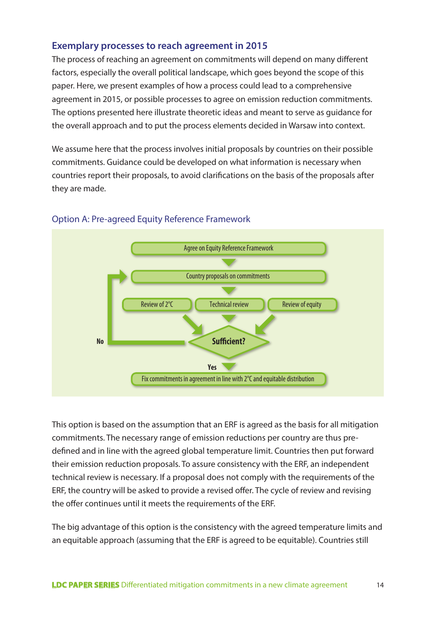# **Exemplary processes to reach agreement in 2015**

The process of reaching an agreement on commitments will depend on many different factors, especially the overall political landscape, which goes beyond the scope of this paper. Here, we present examples of how a process could lead to a comprehensive agreement in 2015, or possible processes to agree on emission reduction commitments. The options presented here illustrate theoretic ideas and meant to serve as guidance for the overall approach and to put the process elements decided in Warsaw into context.

We assume here that the process involves initial proposals by countries on their possible commitments. Guidance could be developed on what information is necessary when countries report their proposals, to avoid clarifications on the basis of the proposals after they are made.



#### Option A: Pre-agreed Equity Reference Framework

This option is based on the assumption that an ERF is agreed as the basis for all mitigation commitments. The necessary range of emission reductions per country are thus predefined and in line with the agreed global temperature limit. Countries then put forward their emission reduction proposals. To assure consistency with the ERF, an independent technical review is necessary. If a proposal does not comply with the requirements of the ERF, the country will be asked to provide a revised offer. The cycle of review and revising the offer continues until it meets the requirements of the ERF.

The big advantage of this option is the consistency with the agreed temperature limits and an equitable approach (assuming that the ERF is agreed to be equitable). Countries still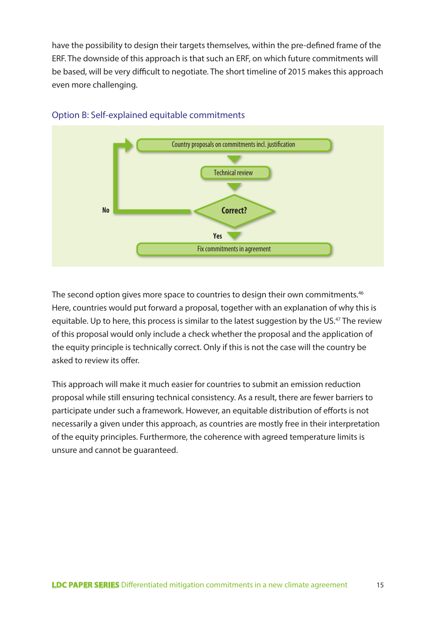have the possibility to design their targets themselves, within the pre-defined frame of the ERF. The downside of this approach is that such an ERF, on which future commitments will be based, will be very difficult to negotiate. The short timeline of 2015 makes this approach even more challenging.



# Option B: Self-explained equitable commitments

The second option gives more space to countries to design their own commitments.<sup>46</sup> Here, countries would put forward a proposal, together with an explanation of why this is equitable. Up to here, this process is similar to the latest suggestion by the US.<sup>47</sup> The review of this proposal would only include a check whether the proposal and the application of the equity principle is technically correct. Only if this is not the case will the country be asked to review its offer.

This approach will make it much easier for countries to submit an emission reduction proposal while still ensuring technical consistency. As a result, there are fewer barriers to participate under such a framework. However, an equitable distribution of efforts is not necessarily a given under this approach, as countries are mostly free in their interpretation of the equity principles. Furthermore, the coherence with agreed temperature limits is unsure and cannot be guaranteed.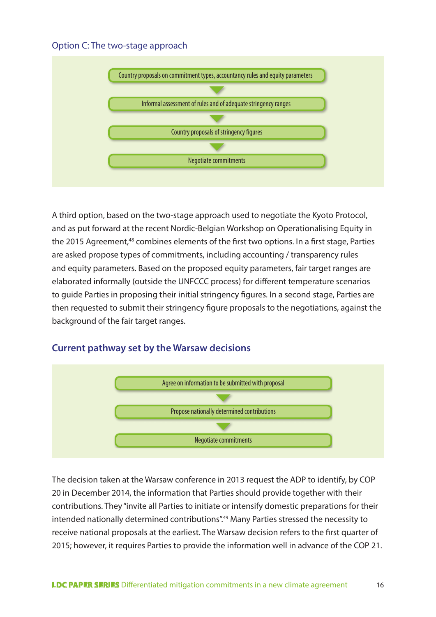# Option C: The two-stage approach



A third option, based on the two-stage approach used to negotiate the Kyoto Protocol, and as put forward at the recent Nordic-Belgian Workshop on Operationalising Equity in the 2015 Agreement,<sup>48</sup> combines elements of the first two options. In a first stage, Parties are asked propose types of commitments, including accounting / transparency rules and equity parameters. Based on the proposed equity parameters, fair target ranges are elaborated informally (outside the UNFCCC process) for different temperature scenarios to guide Parties in proposing their initial stringency figures. In a second stage, Parties are then requested to submit their stringency figure proposals to the negotiations, against the background of the fair target ranges.

# **Current pathway set by the Warsaw decisions**



The decision taken at the Warsaw conference in 2013 request the ADP to identify, by COP 20 in December 2014, the information that Parties should provide together with their contributions. They "invite all Parties to initiate or intensify domestic preparations for their intended nationally determined contributions".<sup>49</sup> Many Parties stressed the necessity to receive national proposals at the earliest. The Warsaw decision refers to the first quarter of 2015; however, it requires Parties to provide the information well in advance of the COP 21.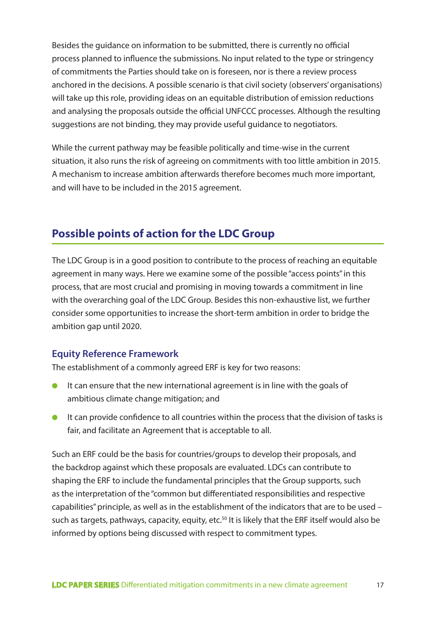Besides the guidance on information to be submitted, there is currently no official process planned to influence the submissions. No input related to the type or stringency of commitments the Parties should take on is foreseen, nor is there a review process anchored in the decisions. A possible scenario is that civil society (observers' organisations) will take up this role, providing ideas on an equitable distribution of emission reductions and analysing the proposals outside the official UNFCCC processes. Although the resulting suggestions are not binding, they may provide useful guidance to negotiators.

While the current pathway may be feasible politically and time-wise in the current situation, it also runs the risk of agreeing on commitments with too little ambition in 2015. A mechanism to increase ambition afterwards therefore becomes much more important, and will have to be included in the 2015 agreement.

# **Possible points of action for the LDC Group**

The LDC Group is in a good position to contribute to the process of reaching an equitable agreement in many ways. Here we examine some of the possible "access points" in this process, that are most crucial and promising in moving towards a commitment in line with the overarching goal of the LDC Group. Besides this non-exhaustive list, we further consider some opportunities to increase the short-term ambition in order to bridge the ambition gap until 2020.

# **Equity Reference Framework**

The establishment of a commonly agreed ERF is key for two reasons:

- It can ensure that the new international agreement is in line with the goals of ambitious climate change mitigation; and
- It can provide confidence to all countries within the process that the division of tasks is fair, and facilitate an Agreement that is acceptable to all.

Such an ERF could be the basis for countries/groups to develop their proposals, and the backdrop against which these proposals are evaluated. LDCs can contribute to shaping the ERF to include the fundamental principles that the Group supports, such as the interpretation of the "common but differentiated responsibilities and respective capabilities" principle, as well as in the establishment of the indicators that are to be used – such as targets, pathways, capacity, equity, etc.<sup>50</sup> It is likely that the ERF itself would also be informed by options being discussed with respect to commitment types.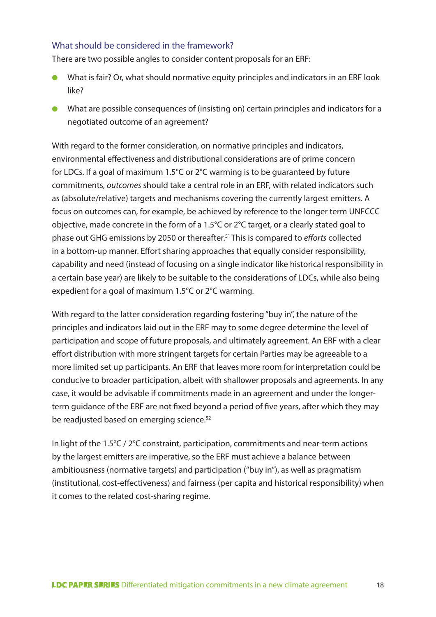# What should be considered in the framework?

There are two possible angles to consider content proposals for an ERF:

- What is fair? Or, what should normative equity principles and indicators in an ERF look like?
- What are possible consequences of (insisting on) certain principles and indicators for a negotiated outcome of an agreement?

With regard to the former consideration, on normative principles and indicators, environmental effectiveness and distributional considerations are of prime concern for LDCs. If a goal of maximum 1.5°C or 2°C warming is to be guaranteed by future commitments, *outcomes* should take a central role in an ERF, with related indicators such as (absolute/relative) targets and mechanisms covering the currently largest emitters. A focus on outcomes can, for example, be achieved by reference to the longer term UNFCCC objective, made concrete in the form of a 1.5°C or 2°C target, or a clearly stated goal to phase out GHG emissions by 2050 or thereafter.51 This is compared to *efforts* collected in a bottom-up manner. Effort sharing approaches that equally consider responsibility, capability and need (instead of focusing on a single indicator like historical responsibility in a certain base year) are likely to be suitable to the considerations of LDCs, while also being expedient for a goal of maximum 1.5°C or 2°C warming.

With regard to the latter consideration regarding fostering "buy in", the nature of the principles and indicators laid out in the ERF may to some degree determine the level of participation and scope of future proposals, and ultimately agreement. An ERF with a clear effort distribution with more stringent targets for certain Parties may be agreeable to a more limited set up participants. An ERF that leaves more room for interpretation could be conducive to broader participation, albeit with shallower proposals and agreements. In any case, it would be advisable if commitments made in an agreement and under the longerterm guidance of the ERF are not fixed beyond a period of five years, after which they may be readjusted based on emerging science.<sup>52</sup>

In light of the 1.5°C / 2°C constraint, participation, commitments and near-term actions by the largest emitters are imperative, so the ERF must achieve a balance between ambitiousness (normative targets) and participation ("buy in"), as well as pragmatism (institutional, cost-effectiveness) and fairness (per capita and historical responsibility) when it comes to the related cost-sharing regime.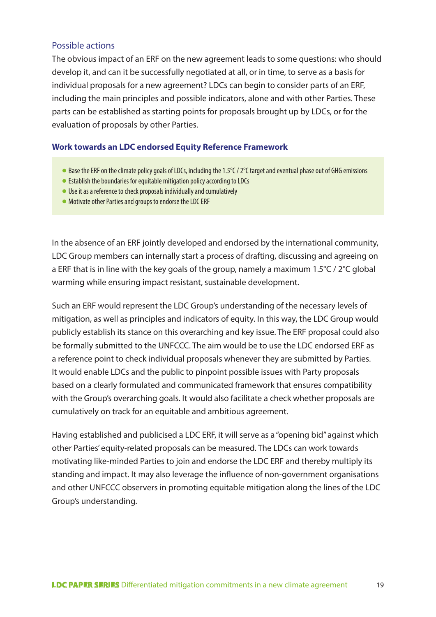#### Possible actions

The obvious impact of an ERF on the new agreement leads to some questions: who should develop it, and can it be successfully negotiated at all, or in time, to serve as a basis for individual proposals for a new agreement? LDCs can begin to consider parts of an ERF, including the main principles and possible indicators, alone and with other Parties. These parts can be established as starting points for proposals brought up by LDCs, or for the evaluation of proposals by other Parties.

#### **Work towards an LDC endorsed Equity Reference Framework**

- $\bullet$  Base the ERF on the climate policy goals of LDCs, including the 1.5 $\degree$ C / 2 $\degree$ C target and eventual phase out of GHG emissions
- $\bullet$  Establish the boundaries for equitable mitigation policy according to LDCs
- $\bullet$  Use it as a reference to check proposals individually and cumulatively
- Motivate other Parties and groups to endorse the LDC ERF

In the absence of an ERF jointly developed and endorsed by the international community, LDC Group members can internally start a process of drafting, discussing and agreeing on a ERF that is in line with the key goals of the group, namely a maximum 1.5°C / 2°C global warming while ensuring impact resistant, sustainable development.

Such an ERF would represent the LDC Group's understanding of the necessary levels of mitigation, as well as principles and indicators of equity. In this way, the LDC Group would publicly establish its stance on this overarching and key issue. The ERF proposal could also be formally submitted to the UNFCCC. The aim would be to use the LDC endorsed ERF as a reference point to check individual proposals whenever they are submitted by Parties. It would enable LDCs and the public to pinpoint possible issues with Party proposals based on a clearly formulated and communicated framework that ensures compatibility with the Group's overarching goals. It would also facilitate a check whether proposals are cumulatively on track for an equitable and ambitious agreement.

Having established and publicised a LDC ERF, it will serve as a "opening bid" against which other Parties' equity-related proposals can be measured. The LDCs can work towards motivating like-minded Parties to join and endorse the LDC ERF and thereby multiply its standing and impact. It may also leverage the influence of non-government organisations and other UNFCCC observers in promoting equitable mitigation along the lines of the LDC Group's understanding.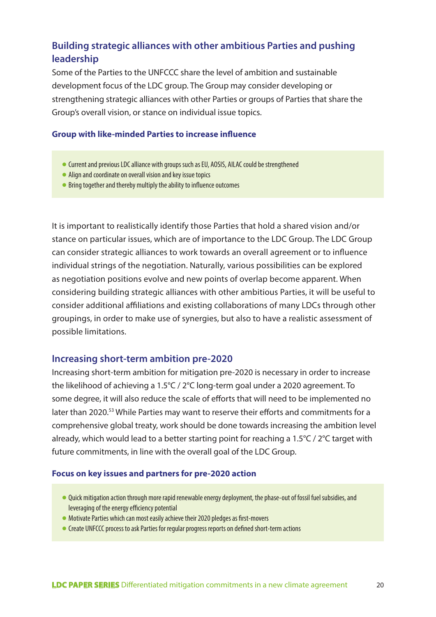# **Building strategic alliances with other ambitious Parties and pushing leadership**

Some of the Parties to the UNFCCC share the level of ambition and sustainable development focus of the LDC group. The Group may consider developing or strengthening strategic alliances with other Parties or groups of Parties that share the Group's overall vision, or stance on individual issue topics.

#### **Group with like-minded Parties to increase influence**

- Current and previous LDC alliance with groups such as EU, AOSIS, AILAC could be strengthened
- Align and coordinate on overall vision and key issue topics
- Bring together and thereby multiply the ability to influence outcomes

It is important to realistically identify those Parties that hold a shared vision and/or stance on particular issues, which are of importance to the LDC Group. The LDC Group can consider strategic alliances to work towards an overall agreement or to influence individual strings of the negotiation. Naturally, various possibilities can be explored as negotiation positions evolve and new points of overlap become apparent. When considering building strategic alliances with other ambitious Parties, it will be useful to consider additional affiliations and existing collaborations of many LDCs through other groupings, in order to make use of synergies, but also to have a realistic assessment of possible limitations.

#### **Increasing short-term ambition pre-2020**

Increasing short-term ambition for mitigation pre-2020 is necessary in order to increase the likelihood of achieving a 1.5°C / 2°C long-term goal under a 2020 agreement. To some degree, it will also reduce the scale of efforts that will need to be implemented no later than 2020.<sup>53</sup> While Parties may want to reserve their efforts and commitments for a comprehensive global treaty, work should be done towards increasing the ambition level already, which would lead to a better starting point for reaching a 1.5°C / 2°C target with future commitments, in line with the overall goal of the LDC Group.

#### **Focus on key issues and partners for pre-2020 action**

- Quick mitigation action through more rapid renewable energy deployment, the phase-out of fossil fuel subsidies, and leveraging of the energy efficiency potential
- Motivate Parties which can most easily achieve their 2020 pledges as first-movers
- Create UNFCCC process to ask Parties for regular progress reports on defined short-term actions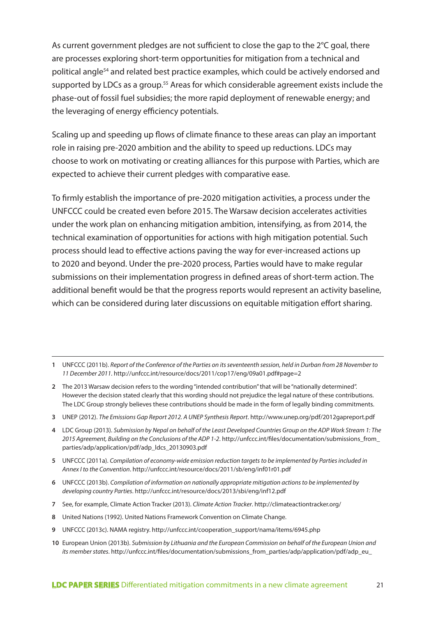As current government pledges are not sufficient to close the gap to the 2°C goal, there are processes exploring short-term opportunities for mitigation from a technical and political angle54 and related best practice examples, which could be actively endorsed and supported by LDCs as a group.<sup>55</sup> Areas for which considerable agreement exists include the phase-out of fossil fuel subsidies; the more rapid deployment of renewable energy; and the leveraging of energy efficiency potentials.

Scaling up and speeding up flows of climate finance to these areas can play an important role in raising pre-2020 ambition and the ability to speed up reductions. LDCs may choose to work on motivating or creating alliances for this purpose with Parties, which are expected to achieve their current pledges with comparative ease.

To firmly establish the importance of pre-2020 mitigation activities, a process under the UNFCCC could be created even before 2015. The Warsaw decision accelerates activities under the work plan on enhancing mitigation ambition, intensifying, as from 2014, the technical examination of opportunities for actions with high mitigation potential. Such process should lead to effective actions paving the way for ever-increased actions up to 2020 and beyond. Under the pre-2020 process, Parties would have to make regular submissions on their implementation progress in defined areas of short-term action. The additional benefit would be that the progress reports would represent an activity baseline, which can be considered during later discussions on equitable mitigation effort sharing.

- **2** The 2013 Warsaw decision refers to the wording "intended contribution" that will be "nationally determined". However the decision stated clearly that this wording should not prejudice the legal nature of these contributions. The LDC Group strongly believes these contributions should be made in the form of legally binding commitments.
- **3** UNEP (2012). *The Emissions Gap Report 2012. A UNEP Synthesis Report*. http://www.unep.org/pdf/2012gapreport.pdf
- **4** LDC Group (2013). *Submission by Nepal on behalf of the Least Developed Countries Group on the ADP Work Stream 1: The 2015 Agreement, Building on the Conclusions of the ADP 1-2*. http://unfccc.int/files/documentation/submissions\_from\_ parties/adp/application/pdf/adp\_ldcs\_20130903.pdf
- **5** UNFCCC (2011a). *Compilation of economy-wide emission reduction targets to be implemented by Parties included in Annex I to the Convention*. http://unfccc.int/resource/docs/2011/sb/eng/inf01r01.pdf
- **6** UNFCCC (2013b). *Compilation of information on nationally appropriate mitigation actions to be implemented by developing country Parties*. http://unfccc.int/resource/docs/2013/sbi/eng/inf12.pdf
- **7** See, for example, Climate Action Tracker (2013). *Climate Action Tracker*. http://climateactiontracker.org/
- **8** United Nations (1992). United Nations Framework Convention on Climate Change.
- **9** UNFCCC (2013c). NAMA registry. http://unfccc.int/cooperation\_support/nama/items/6945.php
- **10** European Union (2013b). *Submission by Lithuania and the European Commission on behalf of the European Union and its member states*. http://unfccc.int/files/documentation/submissions\_from\_parties/adp/application/pdf/adp\_eu

**<sup>1</sup>** UNFCCC (2011b). *Report of the Conference of the Parties on its seventeenth session, held in Durban from 28 November to 11 December 2011*. http://unfccc.int/resource/docs/2011/cop17/eng/09a01.pdf#page=2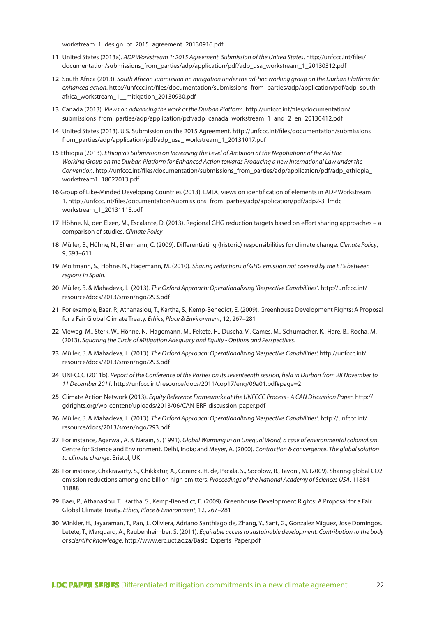workstream\_1\_design\_of\_2015\_agreement\_20130916.pdf

- **11** United States (2013a). *ADP Workstream 1: 2015 Agreement. Submission of the United States*. http://unfccc.int/files/ documentation/submissions\_from\_parties/adp/application/pdf/adp\_usa\_workstream\_1\_20130312.pdf
- **12** South Africa (2013). *South African submission on mitigation under the ad-hoc working group on the Durban Platform for enhanced action*. http://unfccc.int/files/documentation/submissions\_from\_parties/adp/application/pdf/adp\_south\_ africa\_workstream\_1\_mitigation\_20130930.pdf
- **13** Canada (2013). *Views on advancing the work of the Durban Platform*. http://unfccc.int/files/documentation/ submissions\_from\_parties/adp/application/pdf/adp\_canada\_workstream\_1\_and\_2\_en\_20130412.pdf
- **14** United States (2013). U.S. Submission on the 2015 Agreement. http://unfccc.int/files/documentation/submissions\_ from\_parties/adp/application/pdf/adp\_usa\_ workstream\_1\_20131017.pdf
- **15** Ethiopia (2013). *Ethiopia's Submission on Increasing the Level of Ambition at the Negotiations of the Ad Hoc Working Group on the Durban Platform for Enhanced Action towards Producing a new International Law under the Convention*. http://unfccc.int/files/documentation/submissions\_from\_parties/adp/application/pdf/adp\_ethiopia\_ workstream1\_18022013.pdf
- **16** Group of Like-Minded Developing Countries (2013). LMDC views on identification of elements in ADP Workstream 1. http://unfccc.int/files/documentation/submissions\_from\_parties/adp/application/pdf/adp2-3\_lmdc\_ workstream\_1\_20131118.pdf
- **17** Höhne, N., den Elzen, M., Escalante, D. (2013). Regional GHG reduction targets based on effort sharing approaches a comparison of studies. *Climate Policy*
- **18** Müller, B., Höhne, N., Ellermann, C. (2009). Differentiating (historic) responsibilities for climate change. *Climate Policy*, 9, 593–611
- **19** Moltmann, S., Höhne, N., Hagemann, M. (2010). *Sharing reductions of GHG emission not covered by the ETS between regions in Spain*.
- **20** Müller, B. & Mahadeva, L. (2013). *The Oxford Approach: Operationalizing 'Respective Capabilities'*. http://unfccc.int/ resource/docs/2013/smsn/ngo/293.pdf
- **21** For example, Baer, P., Athanasiou, T., Kartha, S., Kemp-Benedict, E. (2009). Greenhouse Development Rights: A Proposal for a Fair Global Climate Treaty. *Ethics, Place & Environment*, 12, 267–281
- **22** Vieweg, M., Sterk, W., Höhne, N., Hagemann, M., Fekete, H., Duscha, V., Cames, M., Schumacher, K., Hare, B., Rocha, M. (2013). *Squaring the Circle of Mitigation Adequacy and Equity - Options and Perspectives*.
- **23** Müller, B. & Mahadeva, L. (2013). *The Oxford Approach: Operationalizing 'Respective Capabilities'.* http://unfccc.int/ resource/docs/2013/smsn/ngo/293.pdf
- **24** UNFCCC (2011b). *Report of the Conference of the Parties on its seventeenth session, held in Durban from 28 November to 11 December 2011*. http://unfccc.int/resource/docs/2011/cop17/eng/09a01.pdf#page=2
- **25** Climate Action Network (2013). *Equity Reference Frameworks at the UNFCCC Process A CAN Discussion Paper*. http:// gdrights.org/wp-content/uploads/2013/06/CAN-ERF-discussion-paper.pdf
- **26** Müller, B. & Mahadeva, L. (2013). *The Oxford Approach: Operationalizing 'Respective Capabilities'*. http://unfccc.int/ resource/docs/2013/smsn/ngo/293.pdf
- **27** For instance, Agarwal, A. & Narain, S. (1991). *Global Warming in an Unequal World, a case of environmental colonialism*. Centre for Science and Environment, Delhi, India; and Meyer, A. (2000). *Contraction & convergence. The global solution to climate change*. Bristol, UK
- **28** For instance, Chakravarty, S., Chikkatur, A., Coninck, H. de, Pacala, S., Socolow, R., Tavoni, M. (2009). Sharing global CO2 emission reductions among one billion high emitters. *Proceedings of the National Academy of Sciences USA*, 11884– 11888
- **29** Baer, P., Athanasiou, T., Kartha, S., Kemp-Benedict, E. (2009). Greenhouse Development Rights: A Proposal for a Fair Global Climate Treaty. *Ethics, Place & Environment*, 12, 267–281
- **30** Winkler, H., Jayaraman, T., Pan, J., Oliviera, Adriano Santhiago de, Zhang, Y., Sant, G., Gonzalez Miguez, Jose Domingos, Letete, T., Marquard, A., Raubenheimber, S. (2011). *Equitable access to sustainable development. Contribution to the body of scientific knowledge*. http://www.erc.uct.ac.za/Basic\_Experts\_Paper.pdf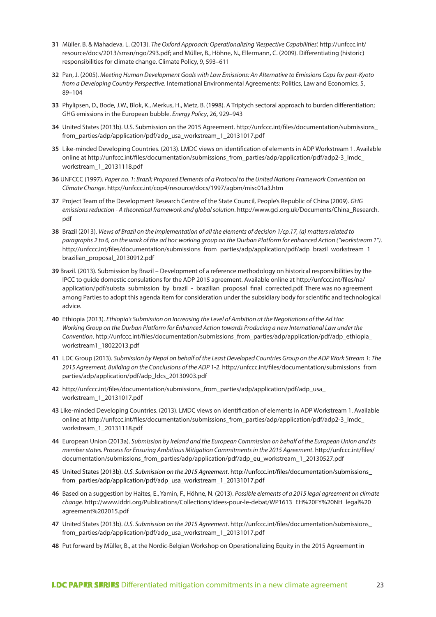- **31** Müller, B. & Mahadeva, L. (2013). *The Oxford Approach: Operationalizing 'Respective Capabilities'.* http://unfccc.int/ resource/docs/2013/smsn/ngo/293.pdf; and Müller, B., Höhne, N., Ellermann, C. (2009). Differentiating (historic) responsibilities for climate change. Climate Policy, 9, 593–611
- **32** Pan, J. (2005). *Meeting Human Development Goals with Low Emissions: An Alternative to Emissions Caps for post-Kyoto from a Developing Country Perspective*. International Environmental Agreements: Politics, Law and Economics, 5, 89–104
- **33** Phylipsen, D., Bode, J.W., Blok, K., Merkus, H., Metz, B. (1998). A Triptych sectoral approach to burden differentiation; GHG emissions in the European bubble. *Energy Policy*, 26, 929–943
- **34** United States (2013b). U.S. Submission on the 2015 Agreement. http://unfccc.int/files/documentation/submissions\_ from\_parties/adp/application/pdf/adp\_usa\_workstream\_1\_20131017.pdf
- **35** Like-minded Developing Countries. (2013). LMDC views on identification of elements in ADP Workstream 1. Available online at http://unfccc.int/files/documentation/submissions\_from\_parties/adp/application/pdf/adp2-3\_lmdc\_ workstream\_1\_20131118.pdf
- **36** UNFCCC (1997). *Paper no. 1: Brazil; Proposed Elements of a Protocol to the United Nations Framework Convention on Climate Change*. http://unfccc.int/cop4/resource/docs/1997/agbm/misc01a3.htm
- **37** Project Team of the Development Research Centre of the State Council, People's Republic of China (2009). *GHG emissions reduction - A theoretical framework and global solution*. http://www.gci.org.uk/Documents/China\_Research. pdf
- **38** Brazil (2013). *Views of Brazil on the implementation of all the elements of decision 1/cp.17, (a) matters related to paragraphs 2 to 6, on the work of the ad hoc working group on the Durban Platform for enhanced Action ("workstream 1")*. http://unfccc.int/files/documentation/submissions\_from\_parties/adp/application/pdf/adp\_brazil\_workstream\_1\_ brazilian\_proposal\_20130912.pdf
- **39** Brazil. (2013). Submission by Brazil Development of a reference methodology on historical responsibilities by the IPCC to guide domestic consulations for the ADP 2015 agreement. Available online at http://unfccc.int/files/na/ application/pdf/substa\_submission\_by\_brazil\_-\_brazilian\_proposal\_final\_corrected.pdf. There was no agreement among Parties to adopt this agenda item for consideration under the subsidiary body for scientific and technological advice.
- **40** Ethiopia (2013). *Ethiopia's Submission on Increasing the Level of Ambition at the Negotiations of the Ad Hoc Working Group on the Durban Platform for Enhanced Action towards Producing a new International Law under the Convention*. http://unfccc.int/files/documentation/submissions\_from\_parties/adp/application/pdf/adp\_ethiopia\_ workstream1\_18022013.pdf
- **41** LDC Group (2013). *Submission by Nepal on behalf of the Least Developed Countries Group on the ADP Work Stream 1: The 2015 Agreement, Building on the Conclusions of the ADP 1-2*. http://unfccc.int/files/documentation/submissions\_from\_ parties/adp/application/pdf/adp\_ldcs\_20130903.pdf
- **42** http://unfccc.int/files/documentation/submissions\_from\_parties/adp/application/pdf/adp\_usa\_ workstream\_1\_20131017.pdf
- **43** Like-minded Developing Countries. (2013). LMDC views on identification of elements in ADP Workstream 1. Available online at http://unfccc.int/files/documentation/submissions\_from\_parties/adp/application/pdf/adp2-3\_lmdc\_ workstream\_1\_20131118.pdf
- **44** European Union (2013a). *Submission by Ireland and the European Commission on behalf of the European Union and its member states. Process for Ensuring Ambitious Mitigation Commitments in the 2015 Agreement*. http://unfccc.int/files/ documentation/submissions\_from\_parties/adp/application/pdf/adp\_eu\_workstream\_1\_20130527.pdf
- **45** United States (2013b). *U.S. Submission on the 2015 Agreement*. http://unfccc.int/files/documentation/submissions\_ from\_parties/adp/application/pdf/adp\_usa\_workstream\_1\_20131017.pdf
- **46** Based on a suggestion by Haites, E., Yamin, F., Höhne, N. (2013). *Possible elements of a 2015 legal agreement on climate change*. http://www.iddri.org/Publications/Collections/Idees-pour-le-debat/WP1613\_EH%20FY%20NH\_legal%20 agreement%202015.pdf
- **47** United States (2013b). *U.S. Submission on the 2015 Agreement*. http://unfccc.int/files/documentation/submissions\_ from\_parties/adp/application/pdf/adp\_usa\_workstream\_1\_20131017.pdf
- **48** Put forward by Müller, B., at the Nordic-Belgian Workshop on Operationalizing Equity in the 2015 Agreement in